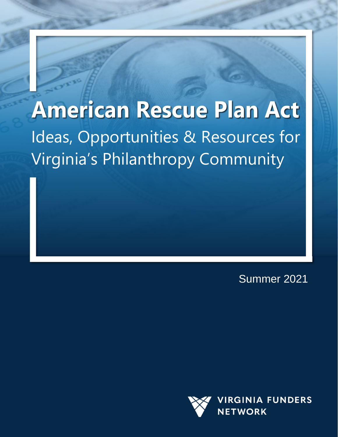## **American Rescue Plan Act** Ideas, Opportunities & Resources for Virginia's Philanthropy Community

Summer 2021

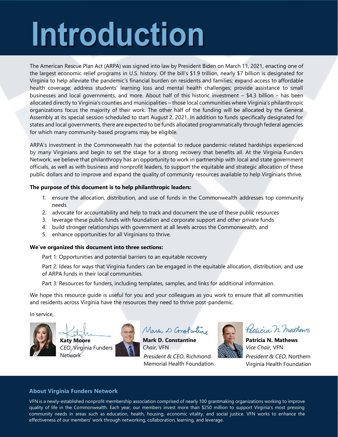# Introduction

The American Rescue Plan Act (ARPA) was signed into law by President Biden on March 11, 2021, enacting one of the largest economic relief programs in U.S. history. Of the bill's \$1.9 trillion, nearly \$7 billion is designated for Virginia to help alleviate the pandemic's financial burden on residents and families; expand access to affordable health coverage; address students' learning loss and mental health challenges; provide assistance to small businesses and local governments, and more. About half of this historic investment – \$4.3 billion – has been allocated directly to Virginia's counties and municipalities – those local communities where Virginia's philanthropic organizations focus the majority of their work. The other half of the funding will be allocated by the General Assembly at its special session scheduled to start August 2, 2021. In addition to funds specifically designated for states and local governments, there are expected to be funds allocated programmatically through federal agencies for which many community-based programs may be eligible.

ARPA's investment in the Commonwealth has the potential to reduce pandemic-related hardships experienced by many Virginians and begin to set the stage for a strong recovery that benefits all. At the Virginia Funders Network, we believe that philanthropy has an opportunity to work in partnership with local and state government officials, as well as with business and nonprofit leaders, to support the equitable and strategic allocation of these public dollars and to improve and expand the quality of community resources available to help Virginians thrive.

#### **The purpose of this document is to help philanthropic leaders:**

- 1. ensure the allocation, distribution, and use of funds in the Commonwealth addresses top community needs
- 2. advocate for accountability and help to track and document the use of these public resources
- 3. leverage these public funds with foundation and corporate support and other private funds
- 4. build stronger relationships with government at all levels across the Commonwealth, and
- 5. enhance opportunities for all Virginians to thrive.

#### **We've organized this document into three sections:**

Part 1: Opportunities and potential barriers to an equitable recovery

Part 2: Ideas for ways that Virginia funders can be engaged in the equitable allocation, distribution, and use of ARPA funds in their local communities.

Part 3: Resources for funders, including templates, samples, and links for additional information.

We hope this resource guide is useful for you and your colleagues as you work to ensure that all communities and residents across Virginia have the resources they need to thrive post-pandemic.

In service,







Main D Constanting

**Mark D. Constantine** *Chair*, VFN *President & CEO*, Richmond Memorial Health Foundation



Patricia n. mathews

**Patricia N. Mathews** *Vice Chair,* VFN *President & CEO*, Northern Virginia Health Foundation

#### **About Virginia Funders Network**

ARPA Resource Guide | Summer 2021 | p. VFN is a newly-established nonprofit membership association comprised of nearly 100 grantmaking organizations working to improve quality of life in the Commonwealth. Each year, our members invest more than \$250 million to support Virginia's most pressing community needs in areas such as education, health, housing, economic vitality, and social justice. VFN works to enhance the effectiveness of our members' work through networking, collaboration, learning, and leverage.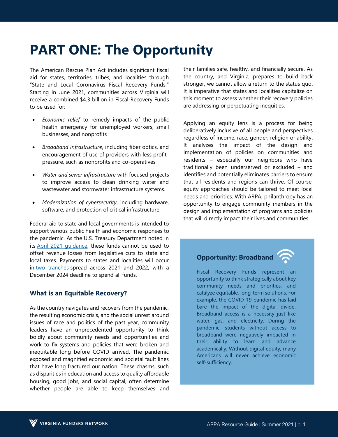## **PART ONE: The Opportunity**

The American Rescue Plan Act includes significant fiscal aid for states, territories, tribes, and localities through "State and Local Coronavirus Fiscal Recovery Funds." Starting in June 2021, communities across Virginia will receive a combined \$4.3 billion in Fiscal Recovery Funds to be used for:

- *Economic relief* to remedy impacts of the public health emergency for unemployed workers, small businesses, and nonprofits
- *Broadband infrastructure*, including fiber optics, and encouragement of use of providers with less profitpressure, such as nonprofits and co-operatives
- *Water and sewer infrastructure* with focused projects to improve access to clean drinking water and wastewater and stormwater infrastructure systems.
- *Modernization of cybersecurity*, including hardware, software, and protection of critical infrastructure.

Federal aid to state and local governments is intended to support various public health and economic responses to the pandemic. As the U.S. Treasury Department noted in its [April 2021 guidance,](https://home.treasury.gov/news/press-releases/jy0113) these funds cannot be used to offset revenue losses from legislative cuts to state and local taxes. Payments to states and localities will occur in [two tranches](https://www.naco.org/sites/default/files/documents/NACo-Analysis-of-State-and-Local-Recovery-Funds_March-8-2.pdf) spread across 2021 and 2022, with a December 2024 deadline to spend all funds.

#### **What is an Equitable Recovery?**

As the country navigates and recovers from the pandemic, the resulting economic crisis, and the social unrest around issues of race and politics of the past year, community leaders have an unprecedented opportunity to think boldly about community needs and opportunities and work to fix systems and policies that were broken and inequitable long before COVID arrived. The pandemic exposed and magnified economic and societal fault lines that have long fractured our nation. These chasms, such as disparities in education and access to quality affordable housing, good jobs, and social capital, often determine whether people are able to keep themselves and

their families safe, healthy, and financially secure. As the country, and Virginia, prepares to build back stronger, we cannot allow a return to the status quo. It is imperative that states and localities capitalize on this moment to assess whether their recovery policies are addressing or perpetuating inequities.

Applying an equity lens is a process for being deliberatively inclusive of all people and perspectives regardless of income, race, gender, religion or ability. It analyzes the impact of the design and implementation of policies on communities and residents – especially our neighbors who have traditionally been underserved or excluded – and identifies and potentially eliminates barriers to ensure that all residents and regions can thrive. Of course, equity approaches should be tailored to meet local needs and priorities. With ARPA, philanthropy has an opportunity to engage community members in the design and implementation of programs and policies that will directly impact their lives and communities.

#### **Opportunity: Broadband**

Fiscal Recovery Funds represent an opportunity to think strategically about key community needs and priorities, and catalyze equitable, long-term solutions. For example, the COVID-19 pandemic has laid bare the impact of the digital divide. Broadband access is a necessity just like water, gas, and electricity. During the pandemic, students without access to broadband were negatively impacted in their ability to learn and advance academically. Without digital equity, many Americans will never achieve economic self-sufficiency.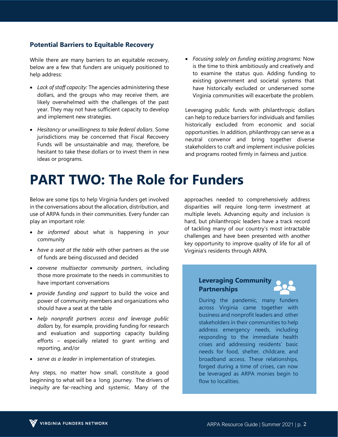#### **Potential Barriers to Equitable Recovery**

While there are many barriers to an equitable recovery, below are a few that funders are uniquely positioned to help address:

- *Lack of staff capacity:* The agencies administering these dollars, and the groups who may receive them, are likely overwhelmed with the challenges of the past year. They may not have sufficient capacity to develop and implement new strategies.
- *Hesitancy or unwillingness to take federal dollars*. Some jurisdictions may be concerned that Fiscal Recovery Funds will be unsustainable and may, therefore, be hesitant to take these dollars or to invest them in new ideas or programs.
- *Focusing solely on funding existing programs:* Now is the time to think ambitiously and creatively and to examine the status quo. Adding funding to existing government and societal systems that have historically excluded or underserved some Virginia communities will exacerbate the problem.

Leveraging public funds with philanthropic dollars can help to reduce barriers for individuals and families historically excluded from economic and social opportunities. In addition, philanthropy can serve as a neutral convenor and bring together diverse stakeholders to craft and implement inclusive policies and programs rooted firmly in fairness and justice.

## **PART TWO: The Role for Funders**

Below are some tips to help Virginia funders get involved in the conversations about the allocation, distribution, and use of ARPA funds in their communities. Every funder can play an important role:

- *be informed* about what is happening in your community
- *have a seat at the table* with other partners as the use of funds are being discussed and decided
- *convene multisector community partners*, including those more proximate to the needs in communities to have important conversations
- *provide funding and support* to build the voice and power of community members and organizations who should have a seat at the table
- *help nonprofit partners access and leverage public dollars* by, for example, providing funding for research and evaluation and supporting capacity building efforts – especially related to grant writing and reporting, and/or
- *serve as a leader* in implementation of strategies.

Any steps, no matter how small, constitute a good beginning to what will be a long journey. The drivers of inequity are far-reaching and systemic. Many of the

approaches needed to comprehensively address disparities will require long-term investment at multiple levels. Advancing equity and inclusion is hard, but philanthropic leaders have a track record of tackling many of our country's most intractable challenges and have been presented with another key opportunity to improve quality of life for all of Virginia's residents through ARPA.

#### **Leveraging Community Partnerships**

During the pandemic, many funders across Virginia came together with business and nonprofit leaders and other stakeholders in their communities to help address emergency needs, including responding to the immediate health crises and addressing residents' basic needs for food, shelter, childcare, and broadband access. These relationships, forged during a time of crises, can now be leveraged as ARPA monies begin to flow to localities.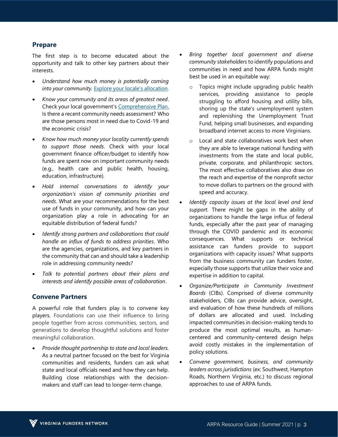#### **Prepare**

The first step is to become educated about the opportunity and talk to other key partners about their interests.

- *Understand how much money is potentially coming* into your community. **E[xplore your locale's allocation](https://www.naco.org/resources/featured/state-and-local-coronavirus-fiscal-recovery-funds)**.
- *Know your community and its areas of greatest need*. Check your local government's [Comprehensive Plan.](https://vacode.org/2016/15.2/II/22/3/) Is there a recent community needs assessment? Who are those persons most in need due to Covid-19 and the economic crisis?
- *Know how much money your locality currently spends to support those needs*. Check with your local government finance officer/budget to identify how funds are spent now on important community needs (e.g., health care and public health, housing, education, infrastructure).
- *Hold internal conversations to identify your organization's vision of community priorities and needs*. What are your recommendations for the best use of funds in your community, and how can your organization play a role in advocating for an equitable distribution of federal funds?
- *Identify strong partners and collaborations that could handle an influx of funds to address priorities*. Who are the agencies, organizations, and key partners in the community that can and should take a leadership role in addressing community needs?
- *Talk to potential partners about their plans and interests and identify possible areas of collaboration*.

#### **Convene Partners**

A powerful role that funders play is to convene key players. Foundations can use their influence to bring people together from across communities, sectors, and generations to develop thoughtful solutions and foster meaningful collaboration.

• *Provide thought partnership to state and local leaders.* As a neutral partner focused on the best for Virginia communities and residents, funders can ask what state and local officials need and how they can help. Building close relationships with the decisionmakers and staff can lead to longer-term change.

- *Bring together local government and diverse community stakeholders* to identify populations and communities in need and how ARPA funds might best be used in an equitable way:
	- o Topics might include upgrading public health services, providing assistance to people struggling to afford housing and utility bills, shoring up the state's unemployment system and replenishing the Unemployment Trust Fund, helping small businesses, and expanding broadband internet access to more Virginians.
	- o Local and state collaboratives work best when they are able to leverage national funding with investments from the state and local public, private, corporate, and philanthropic sectors. The most effective collaboratives also draw on the reach and expertise of the nonprofit sector to move dollars to partners on the ground with speed and accuracy.
- *Identify capacity issues at the local level and lend support.* There might be gaps in the ability of organizations to handle the large influx of federal funds, especially after the past year of managing through the COVID pandemic and its economic consequences. What supports or technical assistance can funders provide to support organizations with capacity issues? What supports from the business community can funders foster, especially those supports that utilize their voice and expertise in addition to capital.
- *Organize/Participate in Community Investment Boards* (CIBs). Comprised of diverse community stakeholders, CIBs can provide advice, oversight, and evaluation of how these hundreds of millions of dollars are allocated and used. Including impacted communities in decision-making tends to produce the most optimal results, as humancentered and community-centered design helps avoid costly mistakes in the implementation of policy solutions.
- *Convene government, business, and community leaders across jurisdictions* (ex: Southwest, Hampton Roads, Northern Virginia, etc.) to discuss regional approaches to use of ARPA funds.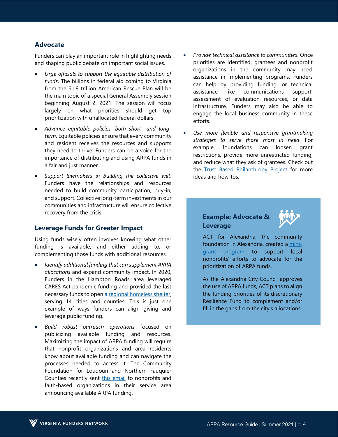#### **Advocate**

Funders can play an important role in highlighting needs and shaping public debate on important social issues.

- *Urge officials to support the equitable distribution of funds*. The billions in federal aid coming to Virginia from the \$1.9 trillion American Rescue Plan will be the main topic of a special General Assembly session beginning August 2, 2021. The session will focus largely on what priorities should get top prioritization with unallocated federal dollars.
- *Advance equitable policies, both short- and longterm*. Equitable policies ensure that every community and resident receives the resources and supports they need to thrive. Funders can be a voice for the importance of distributing and using ARPA funds in a fair and just manner.
- *Support lawmakers in building the collective will.* Funders have the relationships and resources needed to build community participation, buy-in, and support. Collective long-term investments in our communities and infrastructure will ensure collective recovery from the crisis.

#### **Leverage Funds for Greater Impact**

Using funds wisely often involves knowing what other funding is available, and either adding to, or complementing those funds with additional resources.

- *Identify additional funding that can supplement ARPA allocations* and expand community impact. In 2020, Funders in the Hampton Roads area leveraged CARES Act pandemic funding and provided the last necessary funds to open [a regional homeless shelter,](https://www.dailypress.com/government/local/vp-nw-regional-family-homeless-shelter-for-kids-20210520-s6d2gvosirgvnki47tcpc77eaa-story.html?utm_source=newsletter&utm_medium=email&utm_campaign=Don%27t%20Miss&utm_content=5571621516157#nws=true) serving 14 cities and counties. This is just one example of ways funders can align giving and leverage public funding.
- *Build robust outreach operations* focused on publicizing available funding and resources. Maximizing the impact of ARPA funding will require that nonprofit organizations and area residents know about available funding and can navigate the processes needed to access it. The Community Foundation for Loudoun and Northern Fauquier Counties recently sent [this email](https://www.smore.com/br7du-funding-alert?ref=email) to nonprofits and faith-based organizations in their service area announcing available ARPA funding.
- *Provide technical assistance to communities*. Once priorities are identified, grantees and nonprofit organizations in the community may need assistance in implementing programs. Funders can help by providing funding, or technical assistance like communications support, assessment of evaluation resources, or data infrastructure. Funders may also be able to engage the local business community in these efforts.
- *Use more flexible and responsive grantmaking strategies to serve those most in need*. For example, foundations can loosen grant restrictions, provide more unrestricted funding, and reduce what they ask of grantees. Check out the [Trust Based Philanthropy Project](https://static1.squarespace.com/static/607452f8ad01dc4dd54fc41f/t/609871cf7f0bf7797f3e4c12/1620603343379/TBP-Overview-final.pdf) for more ideas and how-tos.

#### **Example: Advocate & Leverage**



ACT for Alexandria, the community foundation in Alexandria, created a [mini](https://www.surveymonkey.com/r/ALXarpaengagement)[grant program](https://www.surveymonkey.com/r/ALXarpaengagement) to support local nonprofits' efforts to advocate for the prioritization of ARPA funds.

As the Alexandria City Council approves the use of ARPA funds, ACT plans to align the funding priorities of its discretionary Resilience Fund to complement and/or fill in the gaps from the city's allocations.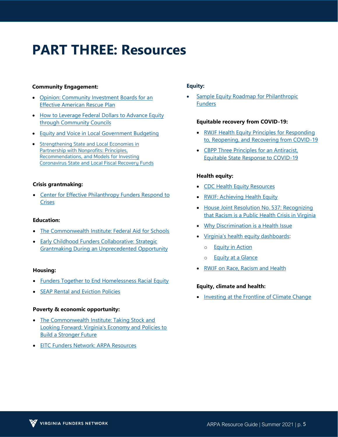## **PART THREE: Resources**

#### **Community Engagement:**

- [Opinion: Community Investment Boards for an](https://independentsector.org/news-post/needed-community-investment-boards-for-an-effective-american-rescue-plan/) [Effective American Rescue Plan](https://independentsector.org/news-post/needed-community-investment-boards-for-an-effective-american-rescue-plan/)
- [How to Leverage Federal Dollars to Advance Equity](https://calmatters.org/commentary/my-turn/2021/05/how-to-leverage-federal-dollars-to-advance-equity-through-community-councils/) [through Community Councils](https://calmatters.org/commentary/my-turn/2021/05/how-to-leverage-federal-dollars-to-advance-equity-through-community-councils/)
- [Equity and Voice in Local Government Budgeting](https://theseap.org/wp-content/uploads/Local-Budgeting-Report.pdf)
- Strengthening State and Local Economies in Partnership with Nonprofits: Principles, Recommendations, and Models for Investing [Coronavirus State and Local Fiscal Recovery Funds](https://cep.org/foundations-respond-to-crisis/)

#### **Crisis grantmaking:**

• [Center for Effective Philanthropy Funders Respond to](https://thecommonwealthinstitute.org/research/federal-aid-for-schools-addressing-pandemic-impacts-and-a-springboard-to-a-better-future/) **Crises** 

#### **E[ducation:](https://drive.google.com/file/d/1iitJUDVaMeecbyv9DlbZVyzZUEnQq_U4/view)**

- The Commonwealth Institute: Federal Aid for Schools
- Early Childhood Funders Collaborative: Strategic [Grantmaking During an Unprecedented Opportunity](https://www.funderstogether.org/staying_focused_on_racial_equity_philanthropy_s_role_in_implementation_of_american_rescue_act_dollars)

#### **Housing:**

- Funders Together to End Homelessness Racial Equity
- **SEAP Rental and Eviction Policies**

#### **P[overty & economic opportunity:](https://eitcfunders.org/focus-areas/equity-and-the-tax-code/american-rescue-plan-resources/)**

- The Commonwealth Institute: Taking Stock and Looking Forward: Virginia's Economy and Policies to Build a Stronger Future
- EITC Funders Network: ARPA Resources

#### **Equity:**

**[Sample Equity Roadmap](https://docs.google.com/presentation/d/e/2PACX-1vSI3aLlk1hZ5y-CLY8_BrxPuxpaqlcbhDTlCNp06uCPXcrL-gcVVyZf0GyUJz6rdcxARbNTiwy5Y3G2/pub?start=false&loop=true&delayms=60000&slide=id.ga336d5ea47_0_0) for Philanthropic Funders** 

#### **Equitable recovery from COVID-19:**

- [RWJF Health Equity Principles for Responding](https://www.rwjf.org/en/library/research/2020/05/health-equity-principles-for-state-and-local-leaders-in-responding-to-reopening-and-recovering-from-covid-19.html) [to, Reopening, and Recovering from COVID-19](https://www.rwjf.org/en/library/research/2020/05/health-equity-principles-for-state-and-local-leaders-in-responding-to-reopening-and-recovering-from-covid-19.html)
- [CBPP Three Principles for an Antiracist,](https://www.cbpp.org/research/state-budget-and-tax/3-principles-for-an-antiracist-equitable-state-response-to-covid-19) [Equitable State Response to COVID-19](https://www.cbpp.org/research/state-budget-and-tax/3-principles-for-an-antiracist-equitable-state-response-to-covid-19)

#### **Health equity:**

- [CDC Health Equity Resources](https://www.cdc.gov/coronavirus/2019-ncov/community/health-equity/index.html)
- [RWJF: Achieving Health Equity](https://www.rwjf.org/en/library/features/achieving-health-equity.html)
- [House Joint Resolution No. 537: Recog](https://drive.google.com/file/d/1iitJUDVaMeecbyv9DlbZVyzZUEnQq_U4/view)[nizing](https://lis.virginia.gov/cgi-bin/legp604.exe?212+ful+HJ537ER) [that Racism is a Public Health Crisis in Virginia](https://lis.virginia.gov/cgi-bin/legp604.exe?212+ful+HJ537ER)
- [Why Discrimination is a Health Issue](https://www.rwjf.org/en/blog/2017/10/discrimination-is-a-health-issue.html?rid=0032S00002MT8kNQAT&et_cid=2465870)
- Virginia's h[ealth equity dashboards:](https://www.nbc29.com/2021/05/18/virginia-launches-nations-first-statewide-health-equity-dashboards/)
	- o [Equity in Action](https://www.governor.virginia.gov/diversity/equity-dashboards/overview)
	- o **[Equity at a Glance](https://www.vdh.virginia.gov/equity-at-a-glance/)**
- [RWJF on Race, Racism and Health](https://www.rwjf.org/en/library/collections/racism-and-health.html?rid=0032S00002MT8kNQAT&et_cid=2465870)

#### **[Equity, climate and health:](https://thecommonwealthinstitute.org/the-half-sheet/taking-stock-and-looking-forward-virginias-economy-and-policies-to-build-a-stronger-future/)**

• [Investing at the Frontline of Climate Ch](https://thecommonwealthinstitute.org/the-half-sheet/taking-stock-and-looking-forward-virginias-economy-and-policies-to-build-a-stronger-future/)[ange](https://climatehealthequitytoolkit.org/)

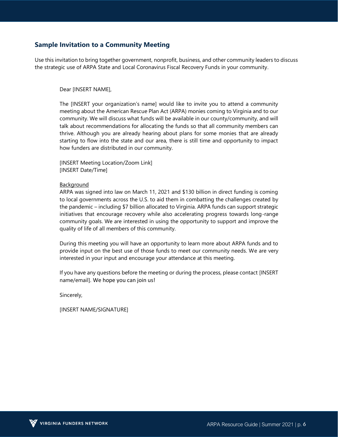#### **Sample Invitation to a Community Meeting**

Use this invitation to bring together government, nonprofit, business, and other community leaders to discuss the strategic use of ARPA State and Local Coronavirus Fiscal Recovery Funds in your community.

#### Dear [INSERT NAME],

The [INSERT your organization's name] would like to invite you to attend a community meeting about the American Rescue Plan Act (ARPA) monies coming to Virginia and to our community. We will discuss what funds will be available in our county/community, and will talk about recommendations for allocating the funds so that all community members can thrive. Although you are already hearing about plans for some monies that are already starting to flow into the state and our area, there is still time and opportunity to impact how funders are distributed in our community.

[INSERT Meeting Location/Zoom Link] [INSERT Date/Time]

#### Background

ARPA was signed into law on March 11, 2021 and \$130 billion in direct funding is coming to local governments across the U.S. to aid them in combatting the challenges created by the pandemic – including \$7 billion allocated to Virginia. ARPA funds can support strategic initiatives that encourage recovery while also accelerating progress towards long-range community goals. We are interested in using the opportunity to support and improve the quality of life of all members of this community.

During this meeting you will have an opportunity to learn more about ARPA funds and to provide input on the best use of those funds to meet our community needs. We are very interested in your input and encourage your attendance at this meeting.

If you have any questions before the meeting or during the process, please contact [INSERT name/email]. We hope you can join us!

Sincerely,

[INSERT NAME/SIGNATURE]

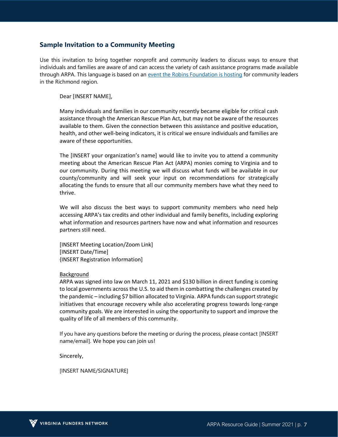#### **Sample Invitation to a Community Meeting**

Use this invitation to bring together nonprofit and community leaders to discuss ways to ensure that individuals and families are aware of and can access the variety of cash assistance programs made available through ARPA. This language is based on an [event the Robins Foundation is hosting](https://us02web.zoom.us/meeting/register/tZAld-mspzorGtH5RAH9is2SrSk247o1dBOC) for community leaders in the Richmond region.

Dear [INSERT NAME],

Many individuals and families in our community recently became eligible for critical cash assistance through the American Rescue Plan Act, but may not be aware of the resources available to them. Given the connection between this assistance and positive education, health, and other well-being indicators, it is critical we ensure individuals and families are aware of these opportunities.

The [INSERT your organization's name] would like to invite you to attend a community meeting about the American Rescue Plan Act (ARPA) monies coming to Virginia and to our community. During this meeting we will discuss what funds will be available in our county/community and will seek your input on recommendations for strategically allocating the funds to ensure that all our community members have what they need to thrive.

We will also discuss the best ways to support community members who need help accessing ARPA's tax credits and other individual and family benefits, including exploring what information and resources partners have now and what information and resources partners still need.

[INSERT Meeting Location/Zoom Link] [INSERT Date/Time] {INSERT Registration Information]

#### Background

ARPA was signed into law on March 11, 2021 and \$130 billion in direct funding is coming to local governments across the U.S. to aid them in combatting the challenges created by the pandemic – including \$7 billion allocated to Virginia. ARPA funds can support strategic initiatives that encourage recovery while also accelerating progress towards long-range community goals. We are interested in using the opportunity to support and improve the quality of life of all members of this community.

If you have any questions before the meeting or during the process, please contact [INSERT name/email]. We hope you can join us!

Sincerely,

[INSERT NAME/SIGNATURE]

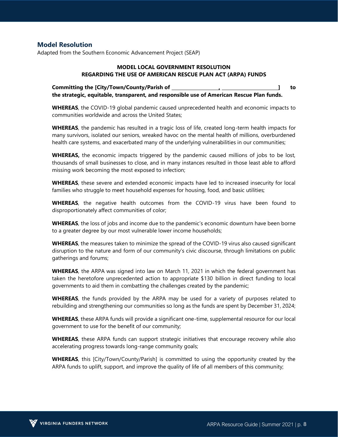#### **Model Resolution**

Adapted from the Southern Economic Advancement Project (SEAP)

#### **MODEL LOCAL GOVERNMENT RESOLUTION REGARDING THE USE OF AMERICAN RESCUE PLAN ACT (ARPA) FUNDS**

**Committing the [City/Town/County/Parish of , ] to the strategic, equitable, transparent, and responsible use of American Rescue Plan funds.**

**WHEREAS**, the COVID-19 global pandemic caused unprecedented health and economic impacts to communities worldwide and across the United States;

**WHEREAS**, the pandemic has resulted in a tragic loss of life, created long-term health impacts for many survivors, isolated our seniors, wreaked havoc on the mental health of millions, overburdened health care systems, and exacerbated many of the underlying vulnerabilities in our communities;

**WHEREAS,** the economic impacts triggered by the pandemic caused millions of jobs to be lost, thousands of small businesses to close, and in many instances resulted in those least able to afford missing work becoming the most exposed to infection;

**WHEREAS**, these severe and extended economic impacts have led to increased insecurity for local families who struggle to meet household expenses for housing, food, and basic utilities;

**WHEREAS**, the negative health outcomes from the COVID-19 virus have been found to disproportionately affect communities of color;

**WHEREAS**, the loss of jobs and income due to the pandemic's economic downturn have been borne to a greater degree by our most vulnerable lower income households;

**WHEREAS**, the measures taken to minimize the spread of the COVID-19 virus also caused significant disruption to the nature and form of our community's civic discourse, through limitations on public gatherings and forums;

**WHEREAS**, the ARPA was signed into law on March 11, 2021 in which the federal government has taken the heretofore unprecedented action to appropriate \$130 billion in direct funding to local governments to aid them in combatting the challenges created by the pandemic;

**WHEREAS**, the funds provided by the ARPA may be used for a variety of purposes related to rebuilding and strengthening our communities so long as the funds are spent by December 31, 2024;

**WHEREAS**, these ARPA funds will provide a significant one-time, supplemental resource for our local government to use for the benefit of our community;

**WHEREAS**, these ARPA funds can support strategic initiatives that encourage recovery while also accelerating progress towards long-range community goals;

**WHEREAS**, this [City/Town/County/Parish] is committed to using the opportunity created by the ARPA funds to uplift, support, and improve the quality of life of all members of this community;

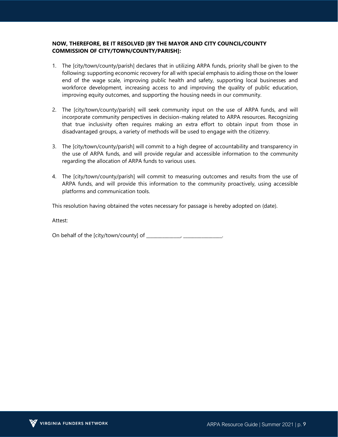#### **NOW, THEREFORE, BE IT RESOLVED [BY THE MAYOR AND CITY COUNCIL/COUNTY COMMISSION OF CITY/TOWN/COUNTY/PARISH]:**

- 1. The [city/town/county/parish] declares that in utilizing ARPA funds, priority shall be given to the following: supporting economic recovery for all with special emphasis to aiding those on the lower end of the wage scale, improving public health and safety, supporting local businesses and workforce development, increasing access to and improving the quality of public education, improving equity outcomes, and supporting the housing needs in our community.
- 2. The [city/town/county/parish] will seek community input on the use of ARPA funds, and will incorporate community perspectives in decision-making related to ARPA resources. Recognizing that true inclusivity often requires making an extra effort to obtain input from those in disadvantaged groups, a variety of methods will be used to engage with the citizenry.
- 3. The [city/town/county/parish] will commit to a high degree of accountability and transparency in the use of ARPA funds, and will provide regular and accessible information to the community regarding the allocation of ARPA funds to various uses.
- 4. The [city/town/county/parish] will commit to measuring outcomes and results from the use of ARPA funds, and will provide this information to the community proactively, using accessible platforms and communication tools.

This resolution having obtained the votes necessary for passage is hereby adopted on (date).

Attest:

On behalf of the [city/town/county] of \_\_\_\_\_\_\_\_\_\_\_\_\_\_\_, \_\_\_\_\_\_\_\_\_\_\_\_\_\_\_\_\_.